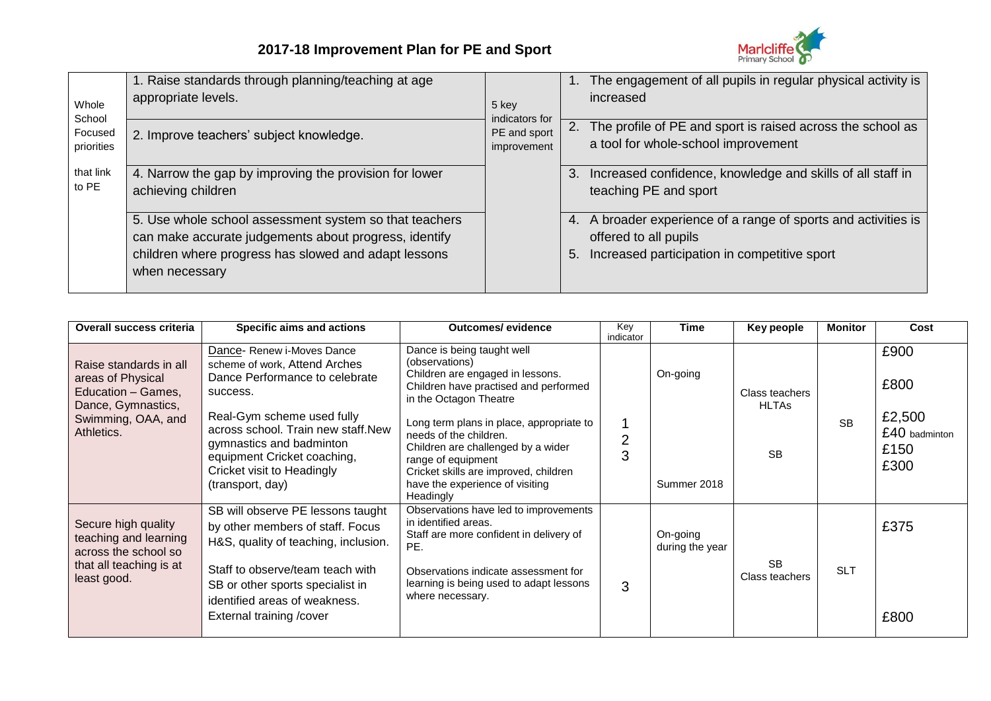

| Whole<br>School<br>Focused<br>priorities | 1. Raise standards through planning/teaching at age<br>appropriate levels.                                                                                                                | 5 key                                         |    | The engagement of all pupils in regular physical activity is<br>increased                                                               |
|------------------------------------------|-------------------------------------------------------------------------------------------------------------------------------------------------------------------------------------------|-----------------------------------------------|----|-----------------------------------------------------------------------------------------------------------------------------------------|
|                                          | 2. Improve teachers' subject knowledge.                                                                                                                                                   | indicators for<br>PE and sport<br>improvement |    | 2. The profile of PE and sport is raised across the school as<br>a tool for whole-school improvement                                    |
| that link<br>to PE                       | 4. Narrow the gap by improving the provision for lower<br>achieving children                                                                                                              |                                               | 3. | Increased confidence, knowledge and skills of all staff in<br>teaching PE and sport                                                     |
|                                          | 5. Use whole school assessment system so that teachers<br>can make accurate judgements about progress, identify<br>children where progress has slowed and adapt lessons<br>when necessary |                                               | 5. | 4. A broader experience of a range of sports and activities is<br>offered to all pupils<br>Increased participation in competitive sport |
|                                          |                                                                                                                                                                                           |                                               |    |                                                                                                                                         |

| Overall success criteria                                                                                                    | Specific aims and actions                                                                                                                                                                                                                                                                  | <b>Outcomes/ evidence</b>                                                                                                                                                                                                                                                                                                                                                      | Key<br>indicator | <b>Time</b>                 | Key people                                  | <b>Monitor</b> | Cost                                                    |
|-----------------------------------------------------------------------------------------------------------------------------|--------------------------------------------------------------------------------------------------------------------------------------------------------------------------------------------------------------------------------------------------------------------------------------------|--------------------------------------------------------------------------------------------------------------------------------------------------------------------------------------------------------------------------------------------------------------------------------------------------------------------------------------------------------------------------------|------------------|-----------------------------|---------------------------------------------|----------------|---------------------------------------------------------|
| Raise standards in all<br>areas of Physical<br>Education - Games,<br>Dance, Gymnastics,<br>Swimming, OAA, and<br>Athletics. | Dance- Renew i-Moves Dance<br>scheme of work, Attend Arches<br>Dance Performance to celebrate<br>success.<br>Real-Gym scheme used fully<br>across school. Train new staff.New<br>gymnastics and badminton<br>equipment Cricket coaching,<br>Cricket visit to Headingly<br>(transport, day) | Dance is being taught well<br>(observations)<br>Children are engaged in lessons.<br>Children have practised and performed<br>in the Octagon Theatre<br>Long term plans in place, appropriate to<br>needs of the children.<br>Children are challenged by a wider<br>range of equipment<br>Cricket skills are improved, children<br>have the experience of visiting<br>Headingly | 2<br>3           | On-going<br>Summer 2018     | Class teachers<br><b>HLTAs</b><br><b>SB</b> | <b>SB</b>      | £900<br>£800<br>£2,500<br>£40 badminton<br>£150<br>£300 |
| Secure high quality<br>teaching and learning<br>across the school so<br>that all teaching is at<br>least good.              | SB will observe PE lessons taught<br>by other members of staff. Focus<br>H&S, quality of teaching, inclusion.<br>Staff to observe/team teach with<br>SB or other sports specialist in<br>identified areas of weakness.<br>External training /cover                                         | Observations have led to improvements<br>in identified areas.<br>Staff are more confident in delivery of<br>PE.<br>Observations indicate assessment for<br>learning is being used to adapt lessons<br>where necessary.                                                                                                                                                         | 3                | On-going<br>during the year | <b>SB</b><br>Class teachers                 | <b>SLT</b>     | £375<br>£800                                            |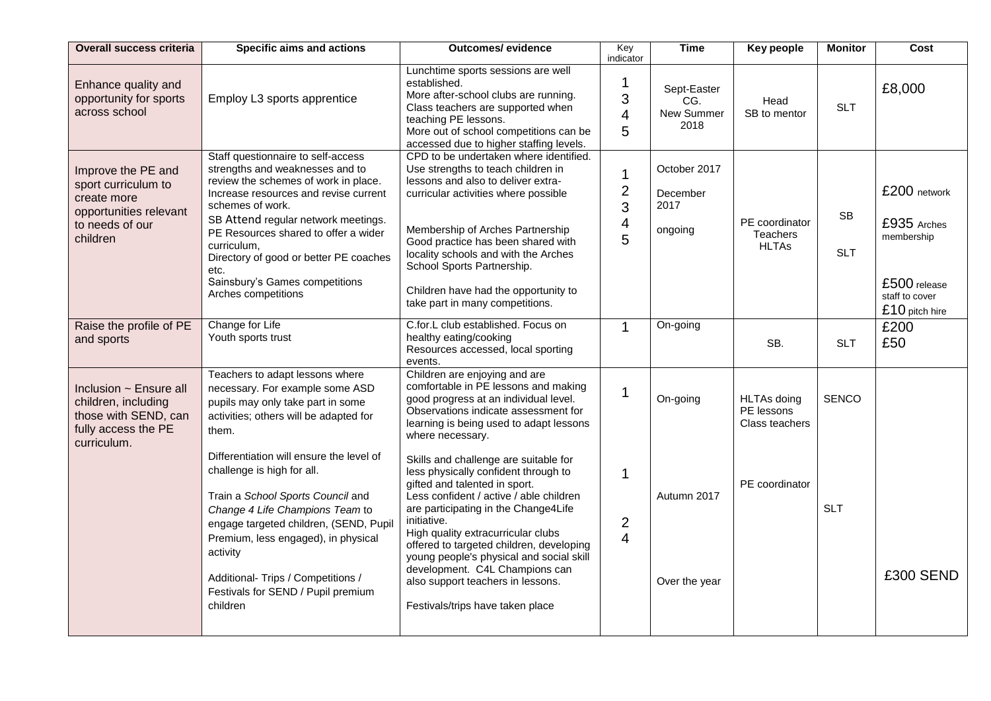| <b>Overall success criteria</b>                                                                                   | Specific aims and actions                                                                                                                                                                                                                                                                                                                                                           | <b>Outcomes/ evidence</b>                                                                                                                                                                                                                                                                                                                                                                                                                                 | Key<br>indicator                                                   | <b>Time</b>                                 | Key people                                         | <b>Monitor</b>          | Cost                                                                                          |
|-------------------------------------------------------------------------------------------------------------------|-------------------------------------------------------------------------------------------------------------------------------------------------------------------------------------------------------------------------------------------------------------------------------------------------------------------------------------------------------------------------------------|-----------------------------------------------------------------------------------------------------------------------------------------------------------------------------------------------------------------------------------------------------------------------------------------------------------------------------------------------------------------------------------------------------------------------------------------------------------|--------------------------------------------------------------------|---------------------------------------------|----------------------------------------------------|-------------------------|-----------------------------------------------------------------------------------------------|
| Enhance quality and<br>opportunity for sports<br>across school                                                    | Employ L3 sports apprentice                                                                                                                                                                                                                                                                                                                                                         | Lunchtime sports sessions are well<br>established.<br>More after-school clubs are running.<br>Class teachers are supported when<br>teaching PE lessons.<br>More out of school competitions can be<br>accessed due to higher staffing levels.                                                                                                                                                                                                              | 1<br>3<br>$\overline{4}$<br>5                                      | Sept-Easter<br>CG.<br>New Summer<br>2018    | Head<br>SB to mentor                               | <b>SLT</b>              | £8,000                                                                                        |
| Improve the PE and<br>sport curriculum to<br>create more<br>opportunities relevant<br>to needs of our<br>children | Staff questionnaire to self-access<br>strengths and weaknesses and to<br>review the schemes of work in place.<br>Increase resources and revise current<br>schemes of work.<br>SB Attend regular network meetings.<br>PE Resources shared to offer a wider<br>curriculum.<br>Directory of good or better PE coaches<br>etc.<br>Sainsbury's Games competitions<br>Arches competitions | CPD to be undertaken where identified.<br>Use strengths to teach children in<br>lessons and also to deliver extra-<br>curricular activities where possible<br>Membership of Arches Partnership<br>Good practice has been shared with<br>locality schools and with the Arches<br>School Sports Partnership.<br>Children have had the opportunity to<br>take part in many competitions.                                                                     | $\mathbf 1$<br>$\overline{2}$<br>3<br>$\overline{\mathbf{4}}$<br>5 | October 2017<br>December<br>2017<br>ongoing | PE coordinator<br><b>Teachers</b><br><b>HLTAs</b>  | <b>SB</b><br><b>SLT</b> | £200 network<br>£935 Arches<br>membership<br>£500 release<br>staff to cover<br>£10 pitch hire |
| Raise the profile of PE<br>and sports                                                                             | Change for Life<br>Youth sports trust                                                                                                                                                                                                                                                                                                                                               | C.for.L club established. Focus on<br>healthy eating/cooking<br>Resources accessed, local sporting<br>events.                                                                                                                                                                                                                                                                                                                                             | $\mathbf{1}$                                                       | On-going                                    | SB.                                                | <b>SLT</b>              | £200<br>£50                                                                                   |
| Inclusion ~ Ensure all<br>children, including<br>those with SEND, can<br>fully access the PE<br>curriculum.       | Teachers to adapt lessons where<br>necessary. For example some ASD<br>pupils may only take part in some<br>activities; others will be adapted for<br>them.                                                                                                                                                                                                                          | Children are enjoying and are<br>comfortable in PE lessons and making<br>good progress at an individual level.<br>Observations indicate assessment for<br>learning is being used to adapt lessons<br>where necessary.                                                                                                                                                                                                                                     | $\mathbf 1$                                                        | On-going                                    | <b>HLTAs doing</b><br>PE lessons<br>Class teachers | <b>SENCO</b>            |                                                                                               |
|                                                                                                                   | Differentiation will ensure the level of<br>challenge is high for all.<br>Train a School Sports Council and<br>Change 4 Life Champions Team to<br>engage targeted children, (SEND, Pupil<br>Premium, less engaged), in physical<br>activity<br>Additional- Trips / Competitions /<br>Festivals for SEND / Pupil premium<br>children                                                 | Skills and challenge are suitable for<br>less physically confident through to<br>gifted and talented in sport.<br>Less confident / active / able children<br>are participating in the Change4Life<br>initiative.<br>High quality extracurricular clubs<br>offered to targeted children, developing<br>young people's physical and social skill<br>development. C4L Champions can<br>also support teachers in lessons.<br>Festivals/trips have taken place | $\mathbf 1$<br>$\overline{2}$<br>$\overline{4}$                    | Autumn 2017<br>Over the year                | PE coordinator                                     | <b>SLT</b>              | £300 SEND                                                                                     |